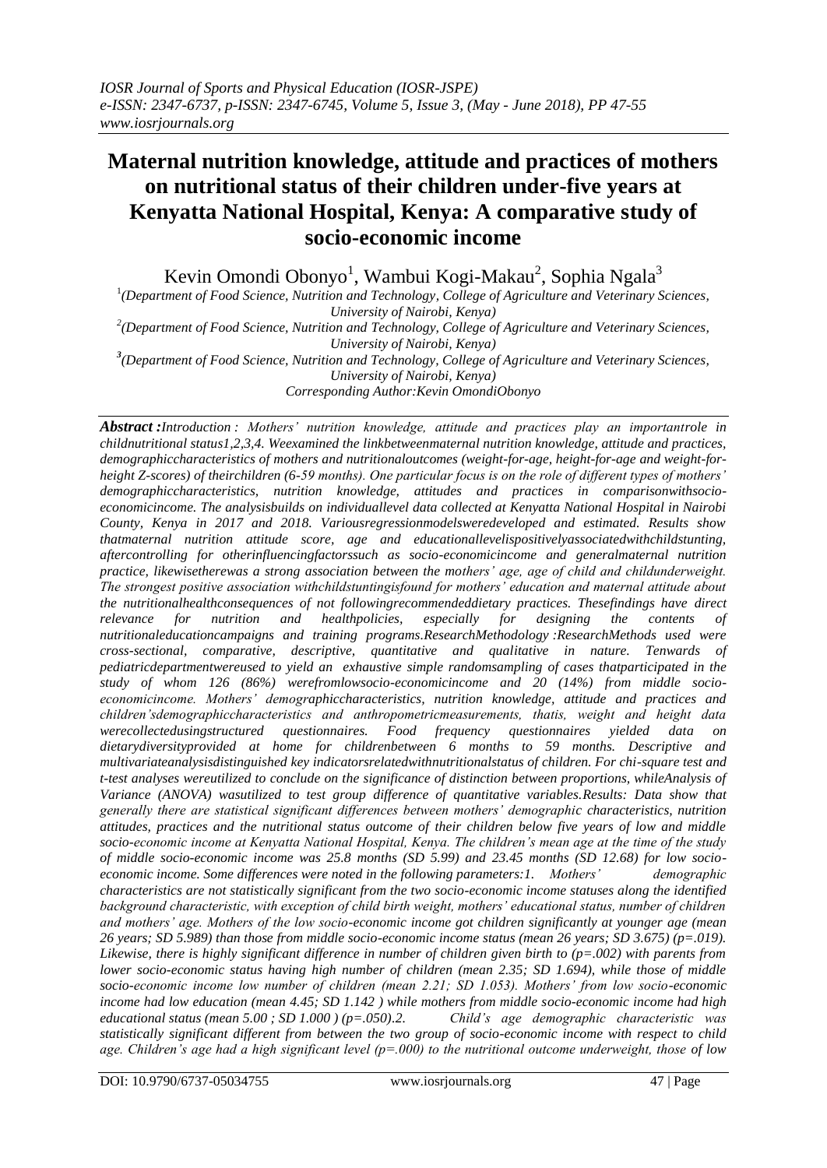# **Maternal nutrition knowledge, attitude and practices of mothers on nutritional status of their children under-five years at Kenyatta National Hospital, Kenya: A comparative study of socio-economic income**

Kevin Omondi Obonyo<sup>1</sup>, Wambui Kogi-Makau<sup>2</sup>, Sophia Ngala<sup>3</sup>

<sup>1</sup>(Department of Food Science, Nutrition and Technology, College of Agriculture and Veterinary Sciences, *University of Nairobi, Kenya)*

*2 (Department of Food Science, Nutrition and Technology, College of Agriculture and Veterinary Sciences, University of Nairobi, Kenya)*

*3 (Department of Food Science, Nutrition and Technology, College of Agriculture and Veterinary Sciences, University of Nairobi, Kenya) Corresponding Author:Kevin OmondiObonyo*

*Abstract :Introduction : Mothers' nutrition knowledge, attitude and practices play an importantrole in childnutritional status1,2,3,4. Weexamined the linkbetweenmaternal nutrition knowledge, attitude and practices, demographiccharacteristics of mothers and nutritionaloutcomes (weight-for-age, height-for-age and weight-forheight Z-scores) of theirchildren (6-59 months). One particular focus is on the role of different types of mothers' demographiccharacteristics, nutrition knowledge, attitudes and practices in comparisonwithsocioeconomicincome. The analysisbuilds on individuallevel data collected at Kenyatta National Hospital in Nairobi County, Kenya in 2017 and 2018. Variousregressionmodelsweredeveloped and estimated. Results show thatmaternal nutrition attitude score, age and educationallevelispositivelyassociatedwithchildstunting, aftercontrolling for otherinfluencingfactorssuch as socio-economicincome and generalmaternal nutrition practice, likewisetherewas a strong association between the mothers' age, age of child and childunderweight. The strongest positive association withchildstuntingisfound for mothers' education and maternal attitude about the nutritionalhealthconsequences of not followingrecommendeddietary practices. Thesefindings have direct relevance for nutrition and healthpolicies, especially for designing the contents of nutritionaleducationcampaigns and training programs.ResearchMethodology :ResearchMethods used were cross-sectional, comparative, descriptive, quantitative and qualitative in nature. Tenwards of pediatricdepartmentwereused to yield an exhaustive simple randomsampling of cases thatparticipated in the study of whom 126 (86%) werefromlowsocio-economicincome and 20 (14%) from middle socioeconomicincome. Mothers' demographiccharacteristics, nutrition knowledge, attitude and practices and children'sdemographiccharacteristics and anthropometricmeasurements, thatis, weight and height data werecollectedusingstructured questionnaires. Food frequency questionnaires yielded data on dietarydiversityprovided at home for childrenbetween 6 months to 59 months. Descriptive and multivariateanalysisdistinguished key indicatorsrelatedwithnutritionalstatus of children. For chi-square test and t-test analyses wereutilized to conclude on the significance of distinction between proportions, whileAnalysis of Variance (ANOVA) wasutilized to test group difference of quantitative variables.Results: Data show that generally there are statistical significant differences between mothers' demographic characteristics, nutrition attitudes, practices and the nutritional status outcome of their children below five years of low and middle socio-economic income at Kenyatta National Hospital, Kenya. The children's mean age at the time of the study of middle socio-economic income was 25.8 months (SD 5.99) and 23.45 months (SD 12.68) for low socioeconomic income. Some differences were noted in the following parameters:1. Mothers' demographic characteristics are not statistically significant from the two socio-economic income statuses along the identified background characteristic, with exception of child birth weight, mothers' educational status, number of children and mothers' age. Mothers of the low socio-economic income got children significantly at younger age (mean 26 years; SD 5.989) than those from middle socio-economic income status (mean 26 years; SD 3.675) (p=.019). Likewise, there is highly significant difference in number of children given birth to (p=.002) with parents from lower socio-economic status having high number of children (mean 2.35; SD 1.694), while those of middle socio-economic income low number of children (mean 2.21; SD 1.053). Mothers' from low socio-economic income had low education (mean 4.45; SD 1.142 ) while mothers from middle socio-economic income had high educational status (mean 5.00 ; SD 1.000 ) (p=.050).2. Child's age demographic characteristic was statistically significant different from between the two group of socio-economic income with respect to child age. Children's age had a high significant level (p=.000) to the nutritional outcome underweight, those of low*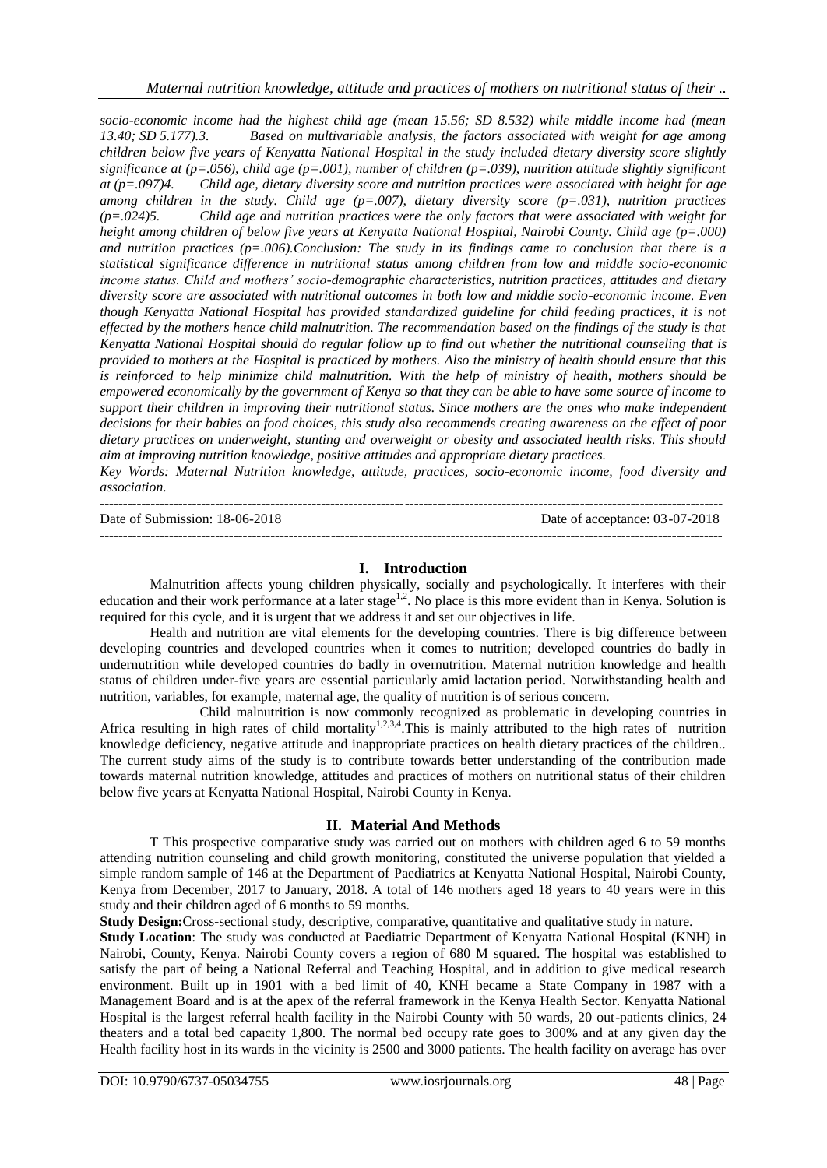*socio-economic income had the highest child age (mean 15.56; SD 8.532) while middle income had (mean 13.40; SD 5.177).3. Based on multivariable analysis, the factors associated with weight for age among children below five years of Kenyatta National Hospital in the study included dietary diversity score slightly significance at (p=.056), child age (p=.001), number of children (p=.039), nutrition attitude slightly significant at (p=.097)4. Child age, dietary diversity score and nutrition practices were associated with height for age among children in the study. Child age (p=.007), dietary diversity score (p=.031), nutrition practices (p=.024)5. Child age and nutrition practices were the only factors that were associated with weight for height among children of below five years at Kenyatta National Hospital, Nairobi County. Child age (p=.000) and nutrition practices (p=.006).Conclusion: The study in its findings came to conclusion that there is a statistical significance difference in nutritional status among children from low and middle socio-economic income status. Child and mothers' socio-demographic characteristics, nutrition practices, attitudes and dietary diversity score are associated with nutritional outcomes in both low and middle socio-economic income. Even though Kenyatta National Hospital has provided standardized guideline for child feeding practices, it is not effected by the mothers hence child malnutrition. The recommendation based on the findings of the study is that Kenyatta National Hospital should do regular follow up to find out whether the nutritional counseling that is provided to mothers at the Hospital is practiced by mothers. Also the ministry of health should ensure that this is reinforced to help minimize child malnutrition. With the help of ministry of health, mothers should be empowered economically by the government of Kenya so that they can be able to have some source of income to support their children in improving their nutritional status. Since mothers are the ones who make independent decisions for their babies on food choices, this study also recommends creating awareness on the effect of poor dietary practices on underweight, stunting and overweight or obesity and associated health risks. This should aim at improving nutrition knowledge, positive attitudes and appropriate dietary practices.*

*Key Words: Maternal Nutrition knowledge, attitude, practices, socio-economic income, food diversity and association.*

---------------------------------------------------------------------------------------------------------------------------------------

Date of Submission: 18-06-2018 Date of acceptance: 03-07-2018 ---------------------------------------------------------------------------------------------------------------------------------------

# **I. Introduction**

Malnutrition affects young children physically, socially and psychologically. It interferes with their education and their work performance at a later stage<sup>1,2</sup>. No place is this more evident than in Kenya. Solution is required for this cycle, and it is urgent that we address it and set our objectives in life.

Health and nutrition are vital elements for the developing countries. There is big difference between developing countries and developed countries when it comes to nutrition; developed countries do badly in undernutrition while developed countries do badly in overnutrition. Maternal nutrition knowledge and health status of children under-five years are essential particularly amid lactation period. Notwithstanding health and nutrition, variables, for example, maternal age, the quality of nutrition is of serious concern.

Child malnutrition is now commonly recognized as problematic in developing countries in Africa resulting in high rates of child mortality<sup>1,2,3,4</sup>. This is mainly attributed to the high rates of nutrition knowledge deficiency, negative attitude and inappropriate practices on health dietary practices of the children.. The current study aims of the study is to contribute towards better understanding of the contribution made towards maternal nutrition knowledge, attitudes and practices of mothers on nutritional status of their children below five years at Kenyatta National Hospital, Nairobi County in Kenya.

# **II. Material And Methods**

T This prospective comparative study was carried out on mothers with children aged 6 to 59 months attending nutrition counseling and child growth monitoring, constituted the universe population that yielded a simple random sample of 146 at the Department of Paediatrics at Kenyatta National Hospital, Nairobi County, Kenya from December, 2017 to January, 2018. A total of 146 mothers aged 18 years to 40 years were in this study and their children aged of 6 months to 59 months.

**Study Design:**Cross-sectional study, descriptive, comparative, quantitative and qualitative study in nature.

**Study Location**: The study was conducted at Paediatric Department of Kenyatta National Hospital (KNH) in Nairobi, County, Kenya. Nairobi County covers a region of 680 M squared. The hospital was established to satisfy the part of being a National Referral and Teaching Hospital, and in addition to give medical research environment. Built up in 1901 with a bed limit of 40, KNH became a State Company in 1987 with a Management Board and is at the apex of the referral framework in the Kenya Health Sector. Kenyatta National Hospital is the largest referral health facility in the Nairobi County with 50 wards, 20 out-patients clinics, 24 theaters and a total bed capacity 1,800. The normal bed occupy rate goes to 300% and at any given day the Health facility host in its wards in the vicinity is 2500 and 3000 patients. The health facility on average has over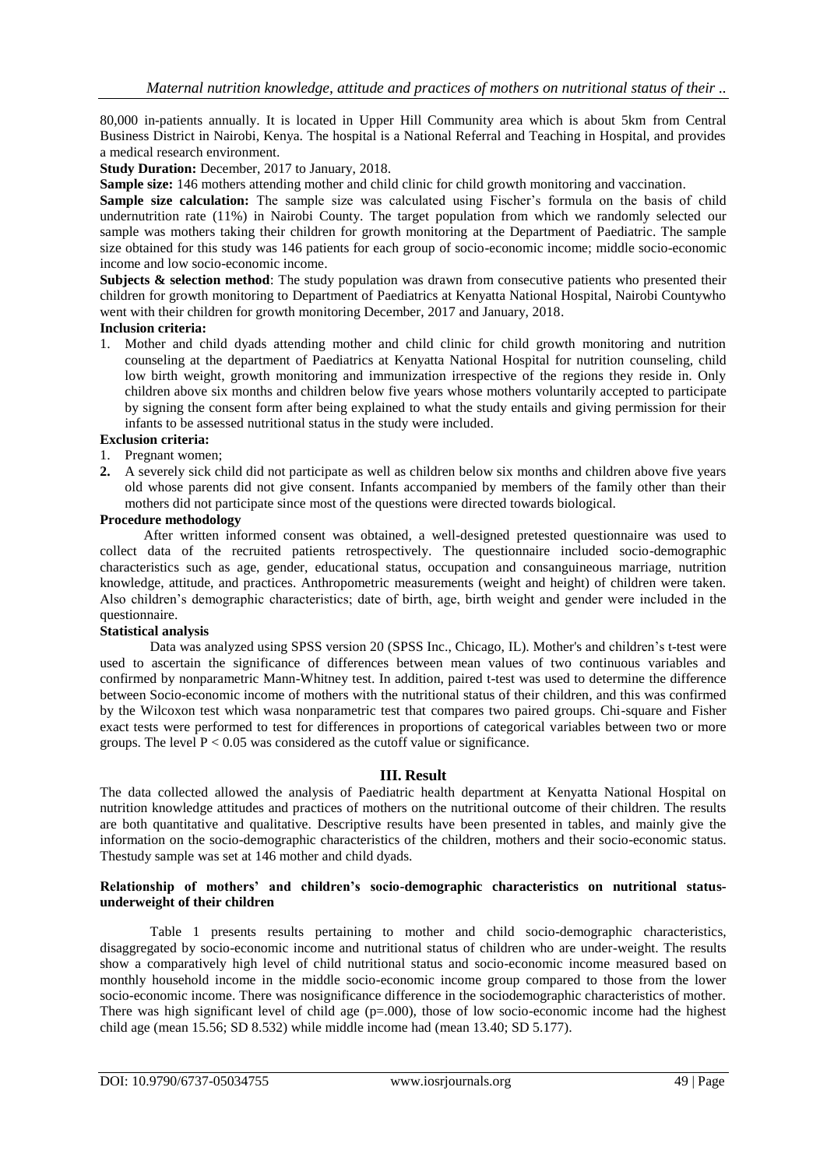80,000 in-patients annually. It is located in Upper Hill Community area which is about 5km from Central Business District in Nairobi, Kenya. The hospital is a National Referral and Teaching in Hospital, and provides a medical research environment.

**Study Duration:** December, 2017 to January, 2018.

**Sample size:** 146 mothers attending mother and child clinic for child growth monitoring and vaccination.

**Sample size calculation:** The sample size was calculated using Fischer's formula on the basis of child undernutrition rate (11%) in Nairobi County. The target population from which we randomly selected our sample was mothers taking their children for growth monitoring at the Department of Paediatric. The sample size obtained for this study was 146 patients for each group of socio-economic income; middle socio-economic income and low socio-economic income.

**Subjects & selection method**: The study population was drawn from consecutive patients who presented their children for growth monitoring to Department of Paediatrics at Kenyatta National Hospital, Nairobi Countywho went with their children for growth monitoring December, 2017 and January, 2018.

# **Inclusion criteria:**

1. Mother and child dyads attending mother and child clinic for child growth monitoring and nutrition counseling at the department of Paediatrics at Kenyatta National Hospital for nutrition counseling, child low birth weight, growth monitoring and immunization irrespective of the regions they reside in. Only children above six months and children below five years whose mothers voluntarily accepted to participate by signing the consent form after being explained to what the study entails and giving permission for their infants to be assessed nutritional status in the study were included.

## **Exclusion criteria:**

- 1. Pregnant women;
- **2.** A severely sick child did not participate as well as children below six months and children above five years old whose parents did not give consent. Infants accompanied by members of the family other than their mothers did not participate since most of the questions were directed towards biological.

# **Procedure methodology**

After written informed consent was obtained, a well-designed pretested questionnaire was used to collect data of the recruited patients retrospectively. The questionnaire included socio-demographic characteristics such as age, gender, educational status, occupation and consanguineous marriage, nutrition knowledge, attitude, and practices. Anthropometric measurements (weight and height) of children were taken. Also children's demographic characteristics; date of birth, age, birth weight and gender were included in the questionnaire.

# **Statistical analysis**

Data was analyzed using SPSS version 20 (SPSS Inc., Chicago, IL). Mother's and children's t-test were used to ascertain the significance of differences between mean values of two continuous variables and confirmed by nonparametric Mann-Whitney test. In addition, paired t-test was used to determine the difference between Socio-economic income of mothers with the nutritional status of their children, and this was confirmed by the Wilcoxon test which wasa nonparametric test that compares two paired groups. Chi-square and Fisher exact tests were performed to test for differences in proportions of categorical variables between two or more groups. The level  $P < 0.05$  was considered as the cutoff value or significance.

## **III. Result**

The data collected allowed the analysis of Paediatric health department at Kenyatta National Hospital on nutrition knowledge attitudes and practices of mothers on the nutritional outcome of their children. The results are both quantitative and qualitative. Descriptive results have been presented in tables, and mainly give the information on the socio-demographic characteristics of the children, mothers and their socio-economic status. Thestudy sample was set at 146 mother and child dyads.

## **Relationship of mothers' and children's socio-demographic characteristics on nutritional statusunderweight of their children**

Table 1 presents results pertaining to mother and child socio-demographic characteristics, disaggregated by socio-economic income and nutritional status of children who are under-weight. The results show a comparatively high level of child nutritional status and socio-economic income measured based on monthly household income in the middle socio-economic income group compared to those from the lower socio-economic income. There was nosignificance difference in the sociodemographic characteristics of mother. There was high significant level of child age  $(p=000)$ , those of low socio-economic income had the highest child age (mean 15.56; SD 8.532) while middle income had (mean 13.40; SD 5.177).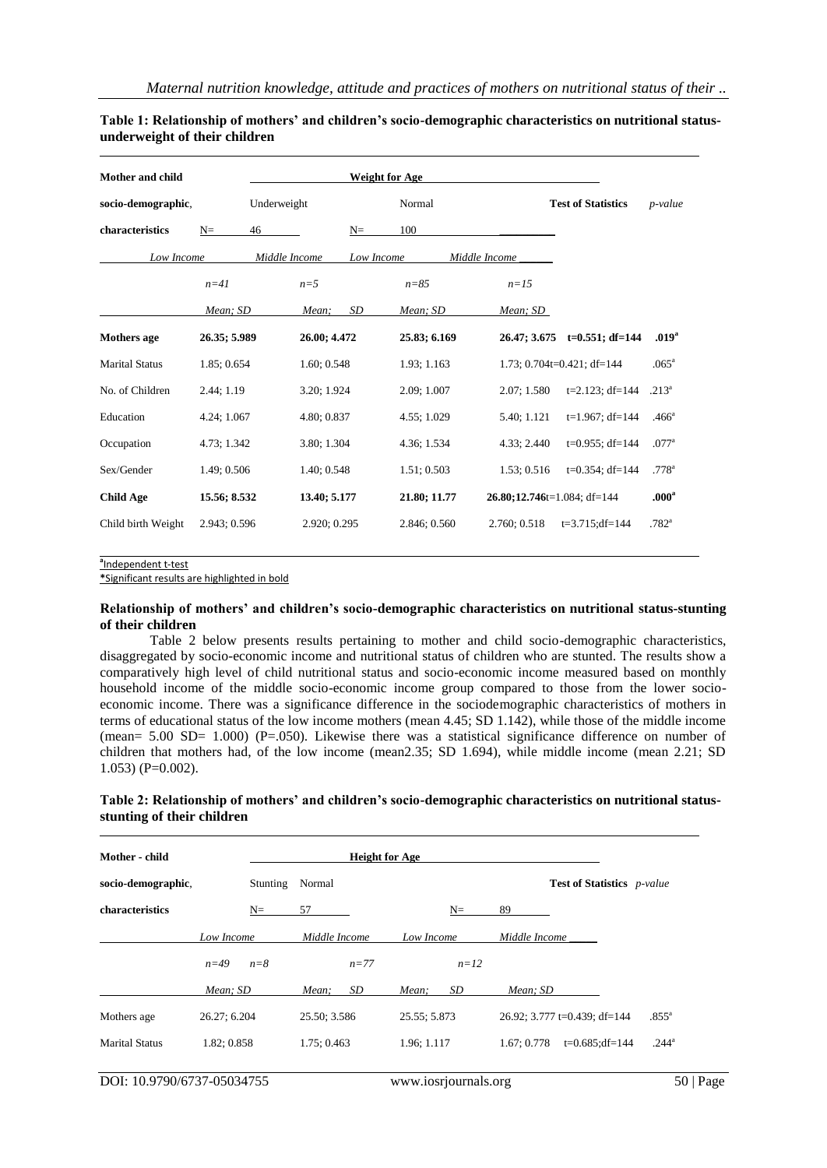| <b>Mother and child</b> |              |               |              |            | <b>Weight for Age</b> |               |                           |                                 |                     |
|-------------------------|--------------|---------------|--------------|------------|-----------------------|---------------|---------------------------|---------------------------------|---------------------|
| socio-demographic,      | Underweight  |               |              | Normal     |                       |               | <b>Test of Statistics</b> | <i>p-value</i>                  |                     |
| characteristics         | $N=$         | 46            |              | $N =$      | 100                   |               |                           |                                 |                     |
| Low Income              |              | Middle Income |              | Low Income |                       | Middle Income |                           |                                 |                     |
|                         | $n=41$       |               | $n=5$        |            | $n = 85$              |               | $n=15$                    |                                 |                     |
|                         | Mean; SD     |               | Mean;        | SD         | Mean; SD              |               | Mean; SD                  |                                 |                     |
| <b>Mothers</b> age      | 26.35; 5.989 |               | 26.00; 4.472 |            | 25.83; 6.169          |               |                           | $26.47; 3.675 \t=0.551; df=144$ | .019 <sup>a</sup>   |
| <b>Marital Status</b>   | 1.85; 0.654  |               | 1.60; 0.548  |            | 1.93; 1.163           |               |                           | 1.73; $0.704t=0.421$ ; df=144   | .065 <sup>a</sup>   |
| No. of Children         | 2.44:1.19    |               | 3.20; 1.924  |            | 2.09; 1.007           |               | 2.07; 1.580               | $t=2.123$ ; df=144              | $.213^{\circ}$      |
| Education               | 4.24:1.067   |               | 4.80; 0.837  |            | 4.55; 1.029           |               | 5.40; 1.121               | $t=1.967$ ; df=144              | .466 <sup>a</sup>   |
| Occupation              | 4.73; 1.342  |               | 3.80; 1.304  |            | 4.36; 1.534           |               | 4.33; 2.440               | $t=0.955$ ; df=144              | .077 <sup>a</sup>   |
| Sex/Gender              | 1.49; 0.506  |               | 1.40; 0.548  |            | 1.51; 0.503           |               | 1.53; 0.516               | $t=0.354$ ; df=144              | $.778^{\rm a}$      |
| <b>Child Age</b>        | 15.56; 8.532 |               | 13.40; 5.177 |            | 21.80; 11.77          |               |                           | $26.80;12.746t=1.084; df=144$   | .000 <sup>a</sup>   |
| Child birth Weight      | 2.943; 0.596 |               | 2.920; 0.295 |            | 2.846; 0.560          |               | 2.760; 0.518              | $t=3.715; df=144$               | $.782$ <sup>a</sup> |

## **Table 1: Relationship of mothers' and children's socio-demographic characteristics on nutritional statusunderweight of their children**

**a** Independent t-test

**\***Significant results are highlighted in bold

#### **Relationship of mothers' and children's socio-demographic characteristics on nutritional status-stunting of their children**

Table 2 below presents results pertaining to mother and child socio-demographic characteristics, disaggregated by socio-economic income and nutritional status of children who are stunted. The results show a comparatively high level of child nutritional status and socio-economic income measured based on monthly household income of the middle socio-economic income group compared to those from the lower socioeconomic income. There was a significance difference in the sociodemographic characteristics of mothers in terms of educational status of the low income mothers (mean 4.45; SD 1.142), while those of the middle income (mean=  $5.00$  SD=  $1.000$ ) (P=.050). Likewise there was a statistical significance difference on number of children that mothers had, of the low income (mean2.35; SD 1.694), while middle income (mean 2.21; SD 1.053) (P=0.002).

## **Table 2: Relationship of mothers' and children's socio-demographic characteristics on nutritional statusstunting of their children**

|                   | <b>Height for Age</b> |              |                                                   |
|-------------------|-----------------------|--------------|---------------------------------------------------|
| Stunting          | Normal                |              | <b>Test of Statistics</b> <i>p-value</i>          |
| $N=$              | 57                    | $N=$         | 89                                                |
| Low Income        | Middle Income         | Low Income   | Middle Income                                     |
| $n=49$<br>$n = 8$ | $n=77$                | $n=12$       |                                                   |
| Mean; SD          | SD<br>Mean:           | SD<br>Mean:  | Mean: SD                                          |
| 26.27; 6.204      | 25.50; 3.586          | 25.55; 5.873 | .855 <sup>a</sup><br>26.92; 3.777 t=0.439; df=144 |
| 1.82: 0.858       | 1.75:0.463            | 1.96; 1.117  | $.244^{\circ}$<br>1.67:0.778<br>$t=0.685:df=144$  |
|                   |                       |              |                                                   |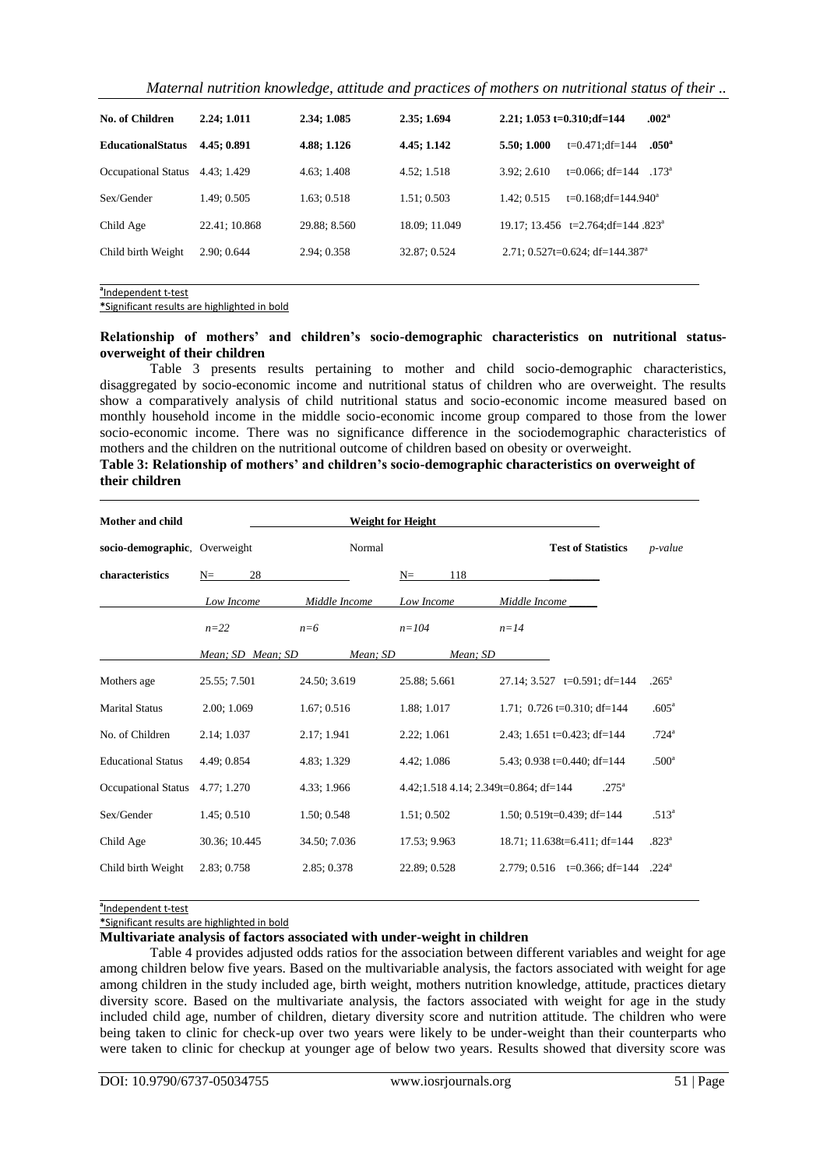| No. of Children            | 2.24:1.011    | 2.34; 1.085  | 2.35; 1.694   | .002 <sup>a</sup><br>$2.21$ ; 1.053 t=0.310;df=144   |
|----------------------------|---------------|--------------|---------------|------------------------------------------------------|
| <b>EducationalStatus</b>   | 4.45: 0.891   | 4.88; 1.126  | 4.45; 1.142   | .050 <sup>a</sup><br>$t=0.471:df=144$<br>5.50: 1.000 |
| <b>Occupational Status</b> | 4.43: 1.429   | 4.63:1.408   | 4.52; 1.518   | $t=0.066$ : df=144<br>$173^{\rm a}$<br>3.92:2.610    |
| Sex/Gender                 | 1.49: 0.505   | 1.63:0.518   | 1.51:0.503    | $t=0.168:df=144.940^a$<br>1.42:0.515                 |
| Child Age                  | 22.41: 10.868 | 29.88: 8.560 | 18.09: 11.049 | 19.17: 13.456 t=2.764:df=144 .823 <sup>a</sup>       |
| Child birth Weight         | 2.90:0.644    | 2.94: 0.358  | 32.87: 0.524  | $2.71: 0.527t=0.624$ : df=144.387 <sup>a</sup>       |
|                            |               |              |               |                                                      |

**a** Independent t-test

**\***Significant results are highlighted in bold

#### **Relationship of mothers' and children's socio-demographic characteristics on nutritional statusoverweight of their children**

Table 3 presents results pertaining to mother and child socio-demographic characteristics, disaggregated by socio-economic income and nutritional status of children who are overweight. The results show a comparatively analysis of child nutritional status and socio-economic income measured based on monthly household income in the middle socio-economic income group compared to those from the lower socio-economic income. There was no significance difference in the sociodemographic characteristics of mothers and the children on the nutritional outcome of children based on obesity or overweight.

#### **Table 3: Relationship of mothers' and children's socio-demographic characteristics on overweight of their children**

| <b>Mother and child</b>       |                   | <b>Weight for Height</b> |                                       |                                   |                   |
|-------------------------------|-------------------|--------------------------|---------------------------------------|-----------------------------------|-------------------|
| socio-demographic, Overweight |                   | Normal                   |                                       | <b>Test of Statistics</b>         | <i>p-value</i>    |
| characteristics               | 28<br>$N=$        |                          | 118<br>$N=$                           |                                   |                   |
|                               | Low Income        | Middle Income            | Low Income                            | Middle Income                     |                   |
|                               | $n=22$            | $n=6$                    | $n = 104$                             | $n=14$                            |                   |
|                               | Mean; SD Mean; SD | Mean: SD                 | Mean: SD                              |                                   |                   |
| Mothers age                   | 25.55; 7.501      | 24.50; 3.619             | 25.88; 5.661                          | $27.14$ ; $3.527$ t=0.591; df=144 | $.265^{\circ}$    |
| <b>Marital Status</b>         | 2.00; 1.069       | 1.67:0.516               | 1.88; 1.017                           | 1.71; $0.726$ t=0.310; df=144     | $.605^{\rm a}$    |
| No. of Children               | 2.14; 1.037       | 2.17; 1.941              | 2.22; 1.061                           | 2.43; 1.651 t=0.423; df=144       | $.724^{\circ}$    |
| <b>Educational Status</b>     | 4.49; 0.854       | 4.83; 1.329              | 4.42; 1.086                           | 5.43; 0.938 t=0.440; df=144       | .500 <sup>a</sup> |
| <b>Occupational Status</b>    | 4.77; 1.270       | 4.33; 1.966              | 4.42;1.518 4.14; 2.349t=0.864; df=144 | $.275^{\circ}$                    |                   |
| Sex/Gender                    | 1.45; 0.510       | 1.50; 0.548              | 1.51; 0.502                           | 1.50; $0.519t=0.439$ ; df=144     | $.513^{\circ}$    |
| Child Age                     | 30.36; 10.445     | 34.50; 7.036             | 17.53; 9.963                          | 18.71; 11.638t=6.411; df=144      | .823 <sup>a</sup> |
| Child birth Weight            | 2.83; 0.758       | 2.85; 0.378              | 22.89; 0.528                          | 2.779; 0.516 t=0.366; df=144      | $.224^{\circ}$    |
|                               |                   |                          |                                       |                                   |                   |

**a** Independent t-test

**\***Significant results are highlighted in bold

**Multivariate analysis of factors associated with under-weight in children**

Table 4 provides adjusted odds ratios for the association between different variables and weight for age among children below five years. Based on the multivariable analysis, the factors associated with weight for age among children in the study included age, birth weight, mothers nutrition knowledge, attitude, practices dietary diversity score. Based on the multivariate analysis, the factors associated with weight for age in the study included child age, number of children, dietary diversity score and nutrition attitude. The children who were being taken to clinic for check-up over two years were likely to be under-weight than their counterparts who were taken to clinic for checkup at younger age of below two years. Results showed that diversity score was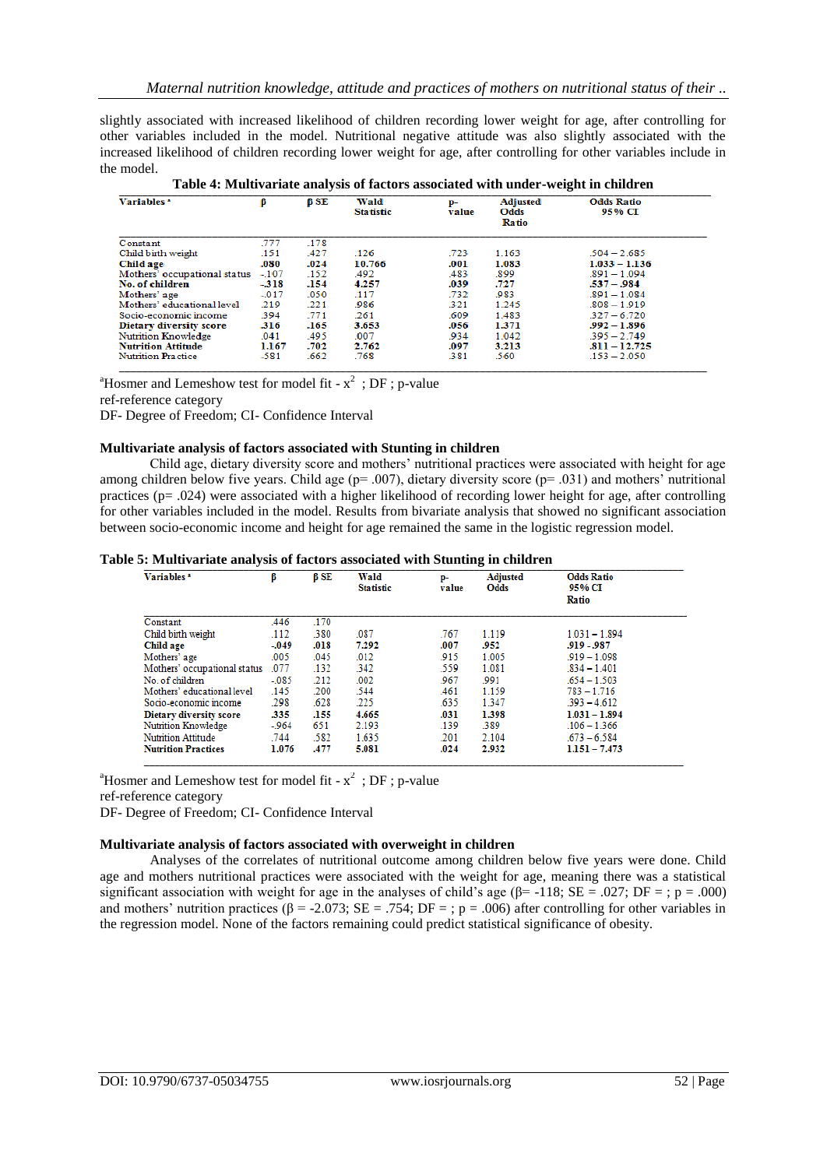slightly associated with increased likelihood of children recording lower weight for age, after controlling for other variables included in the model. Nutritional negative attitude was also slightly associated with the increased likelihood of children recording lower weight for age, after controlling for other variables include in the model.

| Variables <sup>2</sup>       | β       | βSE  | Wald<br><b>Statistic</b> | p-<br>value | <b>Adjusted</b><br>Odds<br>Ratio | <b>Odds Ratio</b><br>95% CI |
|------------------------------|---------|------|--------------------------|-------------|----------------------------------|-----------------------------|
| Constant                     | .777    | .178 |                          |             |                                  |                             |
| Child birth weight           | .151    | .427 | .126                     | .723        | 1.163                            | $.504 - 2.685$              |
| Child age                    | .080    | .024 | 10.766                   | .001        | 1.083                            | $1.033 - 1.136$             |
| Mothers' occupational status | $-.107$ | .152 | .492                     | .483        | .899                             | $.891 - 1.094$              |
| No. of children              | $-318$  | .154 | 4.257                    | .039        | .727                             | $.537 - .984$               |
| Mothers' age                 | $-.017$ | .050 | .117                     | .732        | .983                             | $.891 - 1.084$              |
| Mothers' educational level   | .219    | .221 | .986                     | .321        | 1.245                            | $.808 - 1.919$              |
| Socio-economic income        | .394    | .771 | .261                     | .609        | 1.483                            | $.327 - 6.720$              |
| Dietary diversity score      | .316    | .165 | 3.653                    | .056        | 1.371                            | $.992 - 1.896$              |
| Nutrition Knowledge          | .041    | .495 | .007                     | .934        | 1.042                            | $.395 - 2.749$              |
| <b>Nutrition Attitude</b>    | 1.167   | .702 | 2.762                    | .097        | 3.213                            | $.811 - 12.725$             |
| <b>Nutrition Practice</b>    | -581    | .662 | .768                     | .381        | .560                             | $.153 - 2.050$              |

**Table 4: Multivariate analysis of factors associated with under-weight in children**

<sup>a</sup>Hosmer and Lemeshow test for model fit -  $x^2$ ; DF; p-value

ref-reference category

DF- Degree of Freedom; CI- Confidence Interval

## **Multivariate analysis of factors associated with Stunting in children**

Child age, dietary diversity score and mothers' nutritional practices were associated with height for age among children below five years. Child age ( $p=0.007$ ), dietary diversity score ( $p=0.031$ ) and mothers' nutritional practices (p= .024) were associated with a higher likelihood of recording lower height for age, after controlling for other variables included in the model. Results from bivariate analysis that showed no significant association between socio-economic income and height for age remained the same in the logistic regression model.

#### **Table 5: Multivariate analysis of factors associated with Stunting in children**

| Variables <sup>3</sup>       | β        | βSE  | Wald<br><b>Statistic</b> | p-<br>value | <b>Adjusted</b><br>Odds | <b>Odds Ratio</b><br>95% CI<br>Ratio |
|------------------------------|----------|------|--------------------------|-------------|-------------------------|--------------------------------------|
| Constant                     | .446     | .170 |                          |             |                         |                                      |
| Child birth weight           | .112     | .380 | .087                     | .767        | 1.119                   | $1.031 - 1.894$                      |
| Child age                    | $-049$   | .018 | 7.292                    | .007        | .952                    | .919 - .987                          |
| Mothers' age                 | .005     | .045 | .012                     | .915        | 1.005                   | $.919 - 1.098$                       |
| Mothers' occupational status | .077     | .132 | .342                     | .559        | 1.081                   | $.834 - 1.401$                       |
| No. of children              | $-0.085$ | .212 | .002                     | .967        | .991                    | $.654 - 1.503$                       |
| Mothers' educational level   | .145     | .200 | .544                     | .461        | 1.159                   | $783 - 1.716$                        |
| Socio-economic income        | .298     | .628 | .225                     | .635        | 1.347                   | $.393 - 4.612$                       |
| Dietary diversity score      | .335     | .155 | 4.665                    | .031        | 1.398                   | $1.031 - 1.894$                      |
| Nutrition Knowledge          | $-964$   | 651  | 2.193                    | .139        | .389                    | $.106 - 1.366$                       |
| <b>Nutrition Attitude</b>    | .744     | .582 | 1.635                    | .201        | 2.104                   | $.673 - 6.584$                       |
| <b>Nutrition Practices</b>   | 1.076    | .477 | 5.081                    | .024        | 2.932                   | $1.151 - 7.473$                      |

<sup>a</sup>Hosmer and Lemeshow test for model fit -  $x^2$ ; DF; p-value

ref-reference category

DF- Degree of Freedom; CI- Confidence Interval

#### **Multivariate analysis of factors associated with overweight in children**

Analyses of the correlates of nutritional outcome among children below five years were done. Child age and mothers nutritional practices were associated with the weight for age, meaning there was a statistical significant association with weight for age in the analyses of child's age ( $\beta$ = -118; SE = .027; DF = ; p = .000) and mothers' nutrition practices ( $\beta$  = -2.073; SE = .754; DF = ; p = .006) after controlling for other variables in the regression model. None of the factors remaining could predict statistical significance of obesity.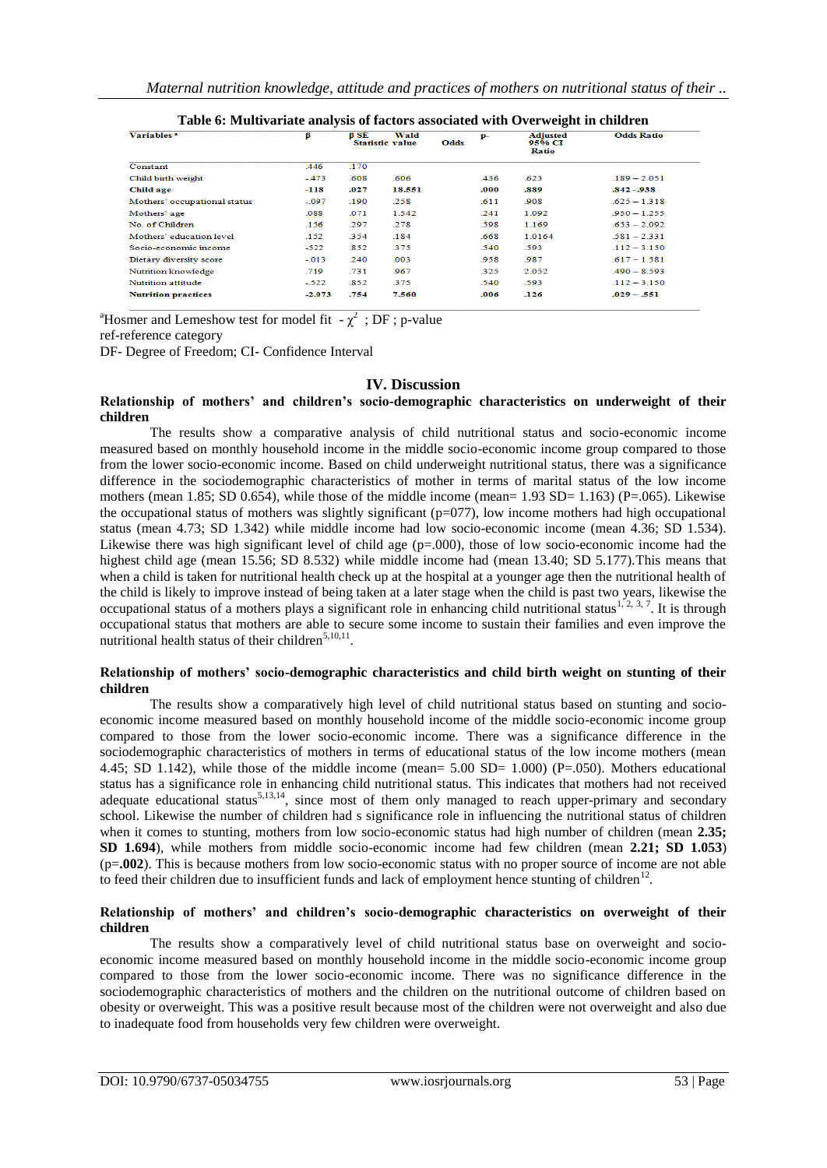| Variables <sup>2</sup>       | β        | <b>B</b> SE | Wald<br><b>Statistic value</b> | Odds | $\mathbf{p}$ | <b>Adjusted</b><br>95% CI<br>Ratio | <b>Odds Ratio</b> |
|------------------------------|----------|-------------|--------------------------------|------|--------------|------------------------------------|-------------------|
| Constant                     | .446     | .170        |                                |      |              |                                    |                   |
| Child birth weight           | $-473$   | .608        | .606                           |      | .436         | .623                               | $.189 - 2.051$    |
| Child age                    | $-118$   | .027        | 18.551                         |      | .000         | .889                               | $.842-.938$       |
| Mothers' occupational status | $-097$   | .190        | .258                           |      | .611         | .908                               | $.625 - 1.318$    |
| Mothers' age                 | .088     | .071        | 1.542                          |      | .241         | 1.092                              | $.950 - 1.255$    |
| No. of Children              | .156     | .297        | .278                           |      | .598         | 1.169                              | $.653 - 2.092$    |
| Mothers' education level     | .152     | .354        | .184                           |      | .668         | 1.0164                             | $.581 - 2.331$    |
| Socio-economic income        | $-522$   | .852        | 375                            |      | .540         | .593                               | $.112 - 3.150$    |
| Dietary diversity score      | $-0.013$ | .240        | .003                           |      | .958         | .987                               | $.617 - 1.581$    |
| Nutrition knowledge          | .719     | .731        | .967                           |      | .325         | 2.052                              | $.490 - 8.593$    |
| Nutrition attitude           | $-522$   | .852        | 375                            |      | .540         | .593                               | $.112 - 3.150$    |
| <b>Nutrition practices</b>   | $-2.073$ | .754        | 7.560                          |      | .006         | .126                               | $.029 - .551$     |

<sup>a</sup>Hosmer and Lemeshow test for model fit  $-\chi^2$ ; DF; p-value ref-reference category

DF- Degree of Freedom; CI- Confidence Interval

## **IV. Discussion**

#### **Relationship of mothers' and children's socio-demographic characteristics on underweight of their children**

The results show a comparative analysis of child nutritional status and socio-economic income measured based on monthly household income in the middle socio-economic income group compared to those from the lower socio-economic income. Based on child underweight nutritional status, there was a significance difference in the sociodemographic characteristics of mother in terms of marital status of the low income mothers (mean 1.85; SD 0.654), while those of the middle income (mean=  $1.93$  SD=  $1.163$ ) (P=.065). Likewise the occupational status of mothers was slightly significant ( $p=077$ ), low income mothers had high occupational status (mean 4.73; SD 1.342) while middle income had low socio-economic income (mean 4.36; SD 1.534). Likewise there was high significant level of child age  $(p=000)$ , those of low socio-economic income had the highest child age (mean 15.56; SD 8.532) while middle income had (mean 13.40; SD 5.177).This means that when a child is taken for nutritional health check up at the hospital at a younger age then the nutritional health of the child is likely to improve instead of being taken at a later stage when the child is past two years, likewise the occupational status of a mothers plays a significant role in enhancing child nutritional status<sup>1, 2, 3, 7</sup>. It is through occupational status that mothers are able to secure some income to sustain their families and even improve the nutritional health status of their children<sup>5,10,11</sup>.

#### **Relationship of mothers' socio-demographic characteristics and child birth weight on stunting of their children**

The results show a comparatively high level of child nutritional status based on stunting and socioeconomic income measured based on monthly household income of the middle socio-economic income group compared to those from the lower socio-economic income. There was a significance difference in the sociodemographic characteristics of mothers in terms of educational status of the low income mothers (mean 4.45; SD 1.142), while those of the middle income (mean=  $5.00$  SD=  $1.000$ ) (P=.050). Mothers educational status has a significance role in enhancing child nutritional status. This indicates that mothers had not received adequate educational status<sup>5,13,14</sup>, since most of them only managed to reach upper-primary and secondary school. Likewise the number of children had s significance role in influencing the nutritional status of children when it comes to stunting, mothers from low socio-economic status had high number of children (mean 2.35; **SD 1.694**), while mothers from middle socio-economic income had few children (mean **2.21; SD 1.053**) (p=**.002**). This is because mothers from low socio-economic status with no proper source of income are not able to feed their children due to insufficient funds and lack of employment hence stunting of children<sup>12</sup>.

# **Relationship of mothers' and children's socio-demographic characteristics on overweight of their children**

The results show a comparatively level of child nutritional status base on overweight and socioeconomic income measured based on monthly household income in the middle socio-economic income group compared to those from the lower socio-economic income. There was no significance difference in the sociodemographic characteristics of mothers and the children on the nutritional outcome of children based on obesity or overweight. This was a positive result because most of the children were not overweight and also due to inadequate food from households very few children were overweight.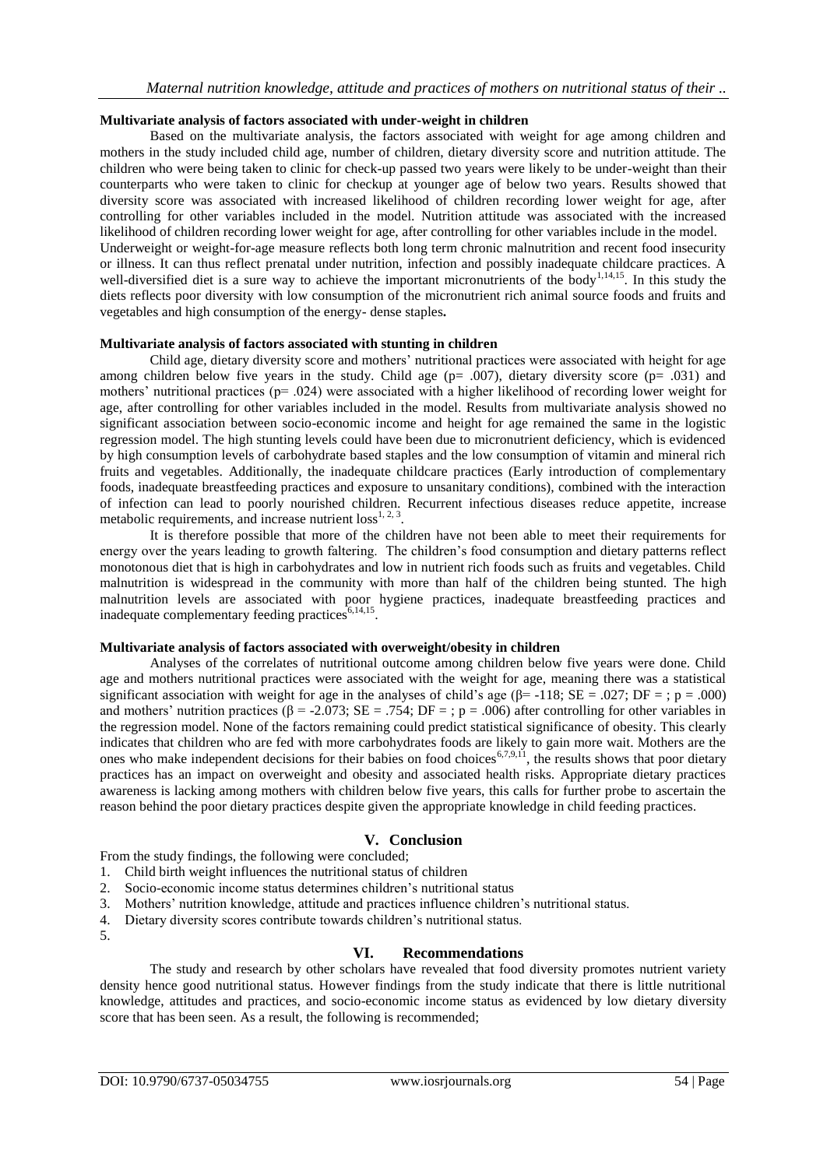## **Multivariate analysis of factors associated with under-weight in children**

Based on the multivariate analysis, the factors associated with weight for age among children and mothers in the study included child age, number of children, dietary diversity score and nutrition attitude. The children who were being taken to clinic for check-up passed two years were likely to be under-weight than their counterparts who were taken to clinic for checkup at younger age of below two years. Results showed that diversity score was associated with increased likelihood of children recording lower weight for age, after controlling for other variables included in the model. Nutrition attitude was associated with the increased likelihood of children recording lower weight for age, after controlling for other variables include in the model. Underweight or weight-for-age measure reflects both long term chronic malnutrition and recent food insecurity or illness. It can thus reflect prenatal under nutrition, infection and possibly inadequate childcare practices. A well-diversified diet is a sure way to achieve the important micronutrients of the body<sup>1,14,15</sup>. In this study the diets reflects poor diversity with low consumption of the micronutrient rich animal source foods and fruits and vegetables and high consumption of the energy- dense staples**.**

## **Multivariate analysis of factors associated with stunting in children**

Child age, dietary diversity score and mothers' nutritional practices were associated with height for age among children below five years in the study. Child age ( $p = .007$ ), dietary diversity score ( $p = .031$ ) and mothers' nutritional practices ( $p = .024$ ) were associated with a higher likelihood of recording lower weight for age, after controlling for other variables included in the model. Results from multivariate analysis showed no significant association between socio-economic income and height for age remained the same in the logistic regression model. The high stunting levels could have been due to micronutrient deficiency, which is evidenced by high consumption levels of carbohydrate based staples and the low consumption of vitamin and mineral rich fruits and vegetables. Additionally, the inadequate childcare practices (Early introduction of complementary foods, inadequate breastfeeding practices and exposure to unsanitary conditions), combined with the interaction of infection can lead to poorly nourished children. Recurrent infectious diseases reduce appetite, increase metabolic requirements, and increase nutrient  $loss<sup>1, 2, 3</sup>$ .

It is therefore possible that more of the children have not been able to meet their requirements for energy over the years leading to growth faltering. The children's food consumption and dietary patterns reflect monotonous diet that is high in carbohydrates and low in nutrient rich foods such as fruits and vegetables. Child malnutrition is widespread in the community with more than half of the children being stunted. The high malnutrition levels are associated with poor hygiene practices, inadequate breastfeeding practices and inadequate complementary feeding practices $6,14,15$ .

## **Multivariate analysis of factors associated with overweight/obesity in children**

Analyses of the correlates of nutritional outcome among children below five years were done. Child age and mothers nutritional practices were associated with the weight for age, meaning there was a statistical significant association with weight for age in the analyses of child's age ( $\beta$ = -118; SE = .027; DF = ; p = .000) and mothers' nutrition practices ( $\beta = -2.073$ ; SE = .754; DF = ; p = .006) after controlling for other variables in the regression model. None of the factors remaining could predict statistical significance of obesity. This clearly indicates that children who are fed with more carbohydrates foods are likely to gain more wait. Mothers are the ones who make independent decisions for their babies on food choices<sup>6,7,9,11</sup>, the results shows that poor dietary practices has an impact on overweight and obesity and associated health risks. Appropriate dietary practices awareness is lacking among mothers with children below five years, this calls for further probe to ascertain the reason behind the poor dietary practices despite given the appropriate knowledge in child feeding practices.

# **V. Conclusion**

From the study findings, the following were concluded;

- 1. Child birth weight influences the nutritional status of children
- 2. Socio-economic income status determines children's nutritional status
- 3. Mothers' nutrition knowledge, attitude and practices influence children's nutritional status.
- 4. Dietary diversity scores contribute towards children's nutritional status.
- 5.

# **VI. Recommendations**

The study and research by other scholars have revealed that food diversity promotes nutrient variety density hence good nutritional status. However findings from the study indicate that there is little nutritional knowledge, attitudes and practices, and socio-economic income status as evidenced by low dietary diversity score that has been seen. As a result, the following is recommended;